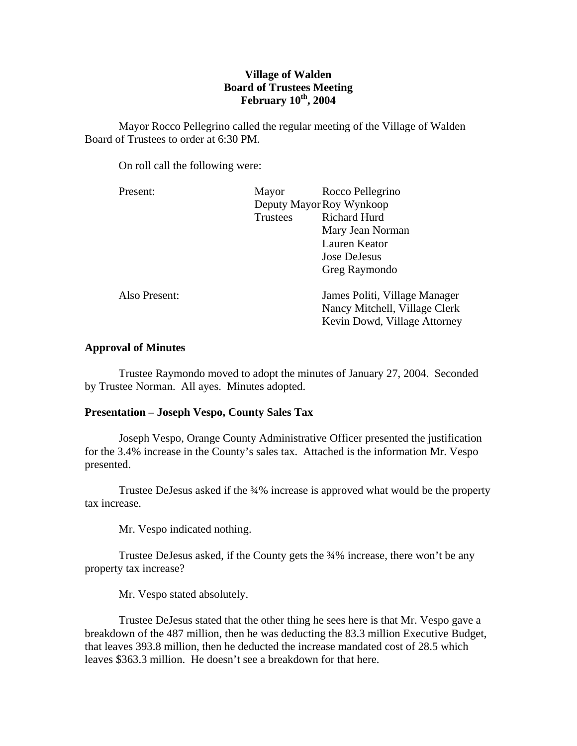# **Village of Walden Board of Trustees Meeting February 10th, 2004**

 Mayor Rocco Pellegrino called the regular meeting of the Village of Walden Board of Trustees to order at 6:30 PM.

On roll call the following were:

| Mayor           | Rocco Pellegrino              |
|-----------------|-------------------------------|
|                 | Deputy Mayor Roy Wynkoop      |
| <b>Trustees</b> | <b>Richard Hurd</b>           |
|                 | Mary Jean Norman              |
|                 | Lauren Keator                 |
|                 | Jose DeJesus                  |
|                 | Greg Raymondo                 |
|                 | James Politi, Village Manager |
|                 | Nancy Mitchell, Village Clerk |
|                 | Kevin Dowd, Village Attorney  |
|                 |                               |

# **Approval of Minutes**

Trustee Raymondo moved to adopt the minutes of January 27, 2004. Seconded by Trustee Norman. All ayes. Minutes adopted.

# **Presentation – Joseph Vespo, County Sales Tax**

Joseph Vespo, Orange County Administrative Officer presented the justification for the 3.4% increase in the County's sales tax. Attached is the information Mr. Vespo presented.

Trustee DeJesus asked if the  $\frac{3}{4}\%$  increase is approved what would be the property tax increase.

Mr. Vespo indicated nothing.

 Trustee DeJesus asked, if the County gets the ¾% increase, there won't be any property tax increase?

Mr. Vespo stated absolutely.

 Trustee DeJesus stated that the other thing he sees here is that Mr. Vespo gave a breakdown of the 487 million, then he was deducting the 83.3 million Executive Budget, that leaves 393.8 million, then he deducted the increase mandated cost of 28.5 which leaves \$363.3 million. He doesn't see a breakdown for that here.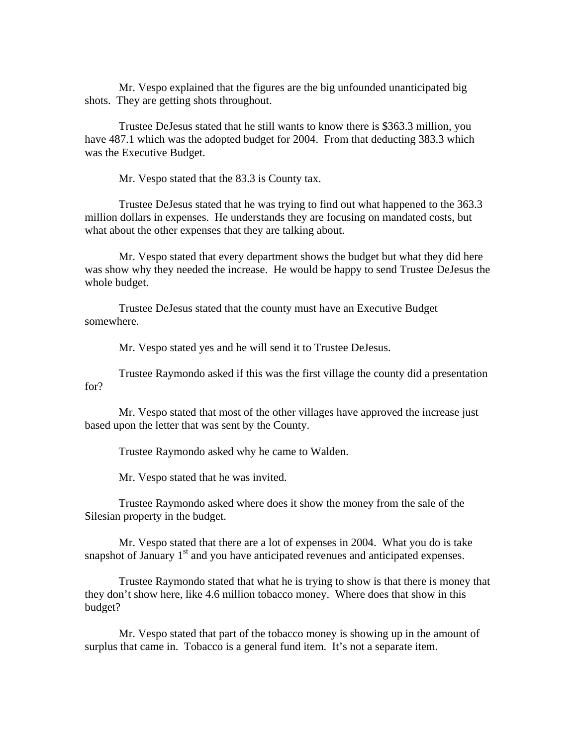Mr. Vespo explained that the figures are the big unfounded unanticipated big shots. They are getting shots throughout.

 Trustee DeJesus stated that he still wants to know there is \$363.3 million, you have 487.1 which was the adopted budget for 2004. From that deducting 383.3 which was the Executive Budget.

Mr. Vespo stated that the 83.3 is County tax.

 Trustee DeJesus stated that he was trying to find out what happened to the 363.3 million dollars in expenses. He understands they are focusing on mandated costs, but what about the other expenses that they are talking about.

 Mr. Vespo stated that every department shows the budget but what they did here was show why they needed the increase. He would be happy to send Trustee DeJesus the whole budget.

 Trustee DeJesus stated that the county must have an Executive Budget somewhere.

Mr. Vespo stated yes and he will send it to Trustee DeJesus.

 Trustee Raymondo asked if this was the first village the county did a presentation for?

 Mr. Vespo stated that most of the other villages have approved the increase just based upon the letter that was sent by the County.

Trustee Raymondo asked why he came to Walden.

Mr. Vespo stated that he was invited.

 Trustee Raymondo asked where does it show the money from the sale of the Silesian property in the budget.

 Mr. Vespo stated that there are a lot of expenses in 2004. What you do is take snapshot of January  $1<sup>st</sup>$  and you have anticipated revenues and anticipated expenses.

 Trustee Raymondo stated that what he is trying to show is that there is money that they don't show here, like 4.6 million tobacco money. Where does that show in this budget?

 Mr. Vespo stated that part of the tobacco money is showing up in the amount of surplus that came in. Tobacco is a general fund item. It's not a separate item.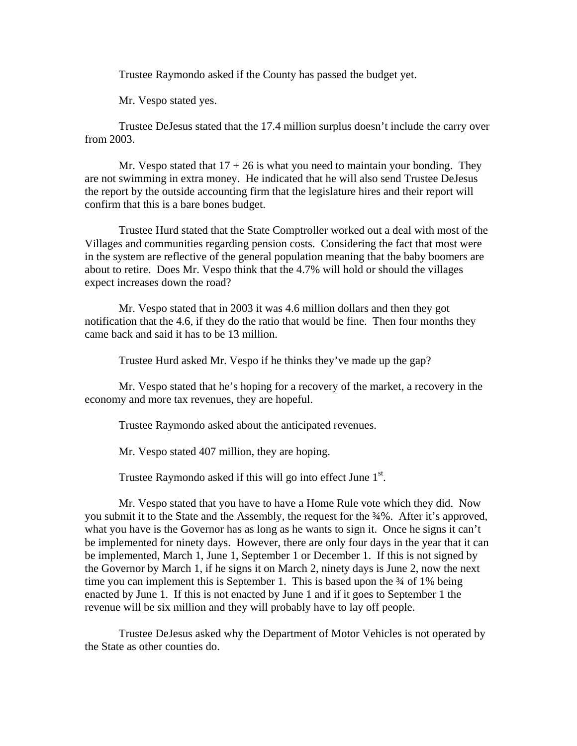Trustee Raymondo asked if the County has passed the budget yet.

Mr. Vespo stated yes.

 Trustee DeJesus stated that the 17.4 million surplus doesn't include the carry over from 2003.

Mr. Vespo stated that  $17 + 26$  is what you need to maintain your bonding. They are not swimming in extra money. He indicated that he will also send Trustee DeJesus the report by the outside accounting firm that the legislature hires and their report will confirm that this is a bare bones budget.

 Trustee Hurd stated that the State Comptroller worked out a deal with most of the Villages and communities regarding pension costs. Considering the fact that most were in the system are reflective of the general population meaning that the baby boomers are about to retire. Does Mr. Vespo think that the 4.7% will hold or should the villages expect increases down the road?

 Mr. Vespo stated that in 2003 it was 4.6 million dollars and then they got notification that the 4.6, if they do the ratio that would be fine. Then four months they came back and said it has to be 13 million.

Trustee Hurd asked Mr. Vespo if he thinks they've made up the gap?

 Mr. Vespo stated that he's hoping for a recovery of the market, a recovery in the economy and more tax revenues, they are hopeful.

Trustee Raymondo asked about the anticipated revenues.

Mr. Vespo stated 407 million, they are hoping.

Trustee Raymondo asked if this will go into effect June  $1<sup>st</sup>$ .

 Mr. Vespo stated that you have to have a Home Rule vote which they did. Now you submit it to the State and the Assembly, the request for the  $\frac{3}{4}\%$ . After it's approved, what you have is the Governor has as long as he wants to sign it. Once he signs it can't be implemented for ninety days. However, there are only four days in the year that it can be implemented, March 1, June 1, September 1 or December 1. If this is not signed by the Governor by March 1, if he signs it on March 2, ninety days is June 2, now the next time you can implement this is September 1. This is based upon the  $\frac{3}{4}$  of 1% being enacted by June 1. If this is not enacted by June 1 and if it goes to September 1 the revenue will be six million and they will probably have to lay off people.

 Trustee DeJesus asked why the Department of Motor Vehicles is not operated by the State as other counties do.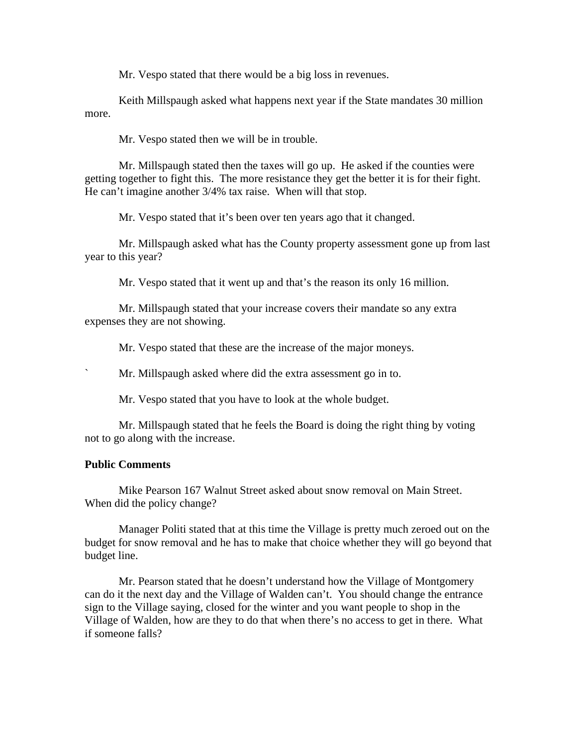Mr. Vespo stated that there would be a big loss in revenues.

 Keith Millspaugh asked what happens next year if the State mandates 30 million more.

Mr. Vespo stated then we will be in trouble.

 Mr. Millspaugh stated then the taxes will go up. He asked if the counties were getting together to fight this. The more resistance they get the better it is for their fight. He can't imagine another 3/4% tax raise. When will that stop.

Mr. Vespo stated that it's been over ten years ago that it changed.

 Mr. Millspaugh asked what has the County property assessment gone up from last year to this year?

Mr. Vespo stated that it went up and that's the reason its only 16 million.

 Mr. Millspaugh stated that your increase covers their mandate so any extra expenses they are not showing.

Mr. Vespo stated that these are the increase of the major moneys.

` Mr. Millspaugh asked where did the extra assessment go in to.

Mr. Vespo stated that you have to look at the whole budget.

 Mr. Millspaugh stated that he feels the Board is doing the right thing by voting not to go along with the increase.

# **Public Comments**

Mike Pearson 167 Walnut Street asked about snow removal on Main Street. When did the policy change?

 Manager Politi stated that at this time the Village is pretty much zeroed out on the budget for snow removal and he has to make that choice whether they will go beyond that budget line.

 Mr. Pearson stated that he doesn't understand how the Village of Montgomery can do it the next day and the Village of Walden can't. You should change the entrance sign to the Village saying, closed for the winter and you want people to shop in the Village of Walden, how are they to do that when there's no access to get in there. What if someone falls?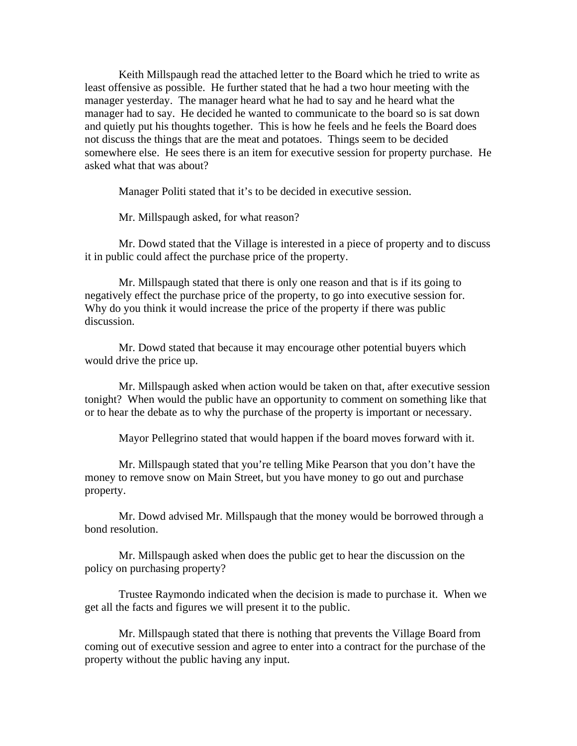Keith Millspaugh read the attached letter to the Board which he tried to write as least offensive as possible. He further stated that he had a two hour meeting with the manager yesterday. The manager heard what he had to say and he heard what the manager had to say. He decided he wanted to communicate to the board so is sat down and quietly put his thoughts together. This is how he feels and he feels the Board does not discuss the things that are the meat and potatoes. Things seem to be decided somewhere else. He sees there is an item for executive session for property purchase. He asked what that was about?

Manager Politi stated that it's to be decided in executive session.

Mr. Millspaugh asked, for what reason?

 Mr. Dowd stated that the Village is interested in a piece of property and to discuss it in public could affect the purchase price of the property.

 Mr. Millspaugh stated that there is only one reason and that is if its going to negatively effect the purchase price of the property, to go into executive session for. Why do you think it would increase the price of the property if there was public discussion.

 Mr. Dowd stated that because it may encourage other potential buyers which would drive the price up.

 Mr. Millspaugh asked when action would be taken on that, after executive session tonight? When would the public have an opportunity to comment on something like that or to hear the debate as to why the purchase of the property is important or necessary.

Mayor Pellegrino stated that would happen if the board moves forward with it.

 Mr. Millspaugh stated that you're telling Mike Pearson that you don't have the money to remove snow on Main Street, but you have money to go out and purchase property.

 Mr. Dowd advised Mr. Millspaugh that the money would be borrowed through a bond resolution.

 Mr. Millspaugh asked when does the public get to hear the discussion on the policy on purchasing property?

 Trustee Raymondo indicated when the decision is made to purchase it. When we get all the facts and figures we will present it to the public.

 Mr. Millspaugh stated that there is nothing that prevents the Village Board from coming out of executive session and agree to enter into a contract for the purchase of the property without the public having any input.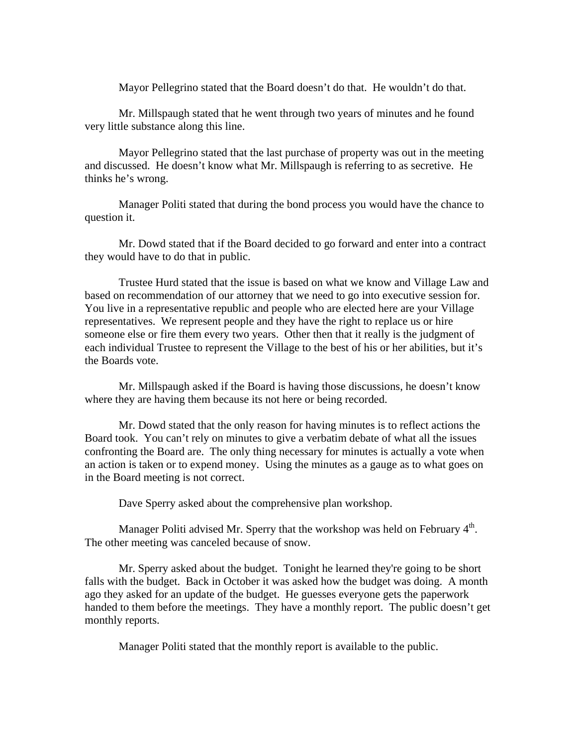Mayor Pellegrino stated that the Board doesn't do that. He wouldn't do that.

 Mr. Millspaugh stated that he went through two years of minutes and he found very little substance along this line.

 Mayor Pellegrino stated that the last purchase of property was out in the meeting and discussed. He doesn't know what Mr. Millspaugh is referring to as secretive. He thinks he's wrong.

 Manager Politi stated that during the bond process you would have the chance to question it.

 Mr. Dowd stated that if the Board decided to go forward and enter into a contract they would have to do that in public.

 Trustee Hurd stated that the issue is based on what we know and Village Law and based on recommendation of our attorney that we need to go into executive session for. You live in a representative republic and people who are elected here are your Village representatives. We represent people and they have the right to replace us or hire someone else or fire them every two years. Other then that it really is the judgment of each individual Trustee to represent the Village to the best of his or her abilities, but it's the Boards vote.

 Mr. Millspaugh asked if the Board is having those discussions, he doesn't know where they are having them because its not here or being recorded.

 Mr. Dowd stated that the only reason for having minutes is to reflect actions the Board took. You can't rely on minutes to give a verbatim debate of what all the issues confronting the Board are. The only thing necessary for minutes is actually a vote when an action is taken or to expend money. Using the minutes as a gauge as to what goes on in the Board meeting is not correct.

Dave Sperry asked about the comprehensive plan workshop.

Manager Politi advised Mr. Sperry that the workshop was held on February  $4<sup>th</sup>$ . The other meeting was canceled because of snow.

 Mr. Sperry asked about the budget. Tonight he learned they're going to be short falls with the budget. Back in October it was asked how the budget was doing. A month ago they asked for an update of the budget. He guesses everyone gets the paperwork handed to them before the meetings. They have a monthly report. The public doesn't get monthly reports.

Manager Politi stated that the monthly report is available to the public.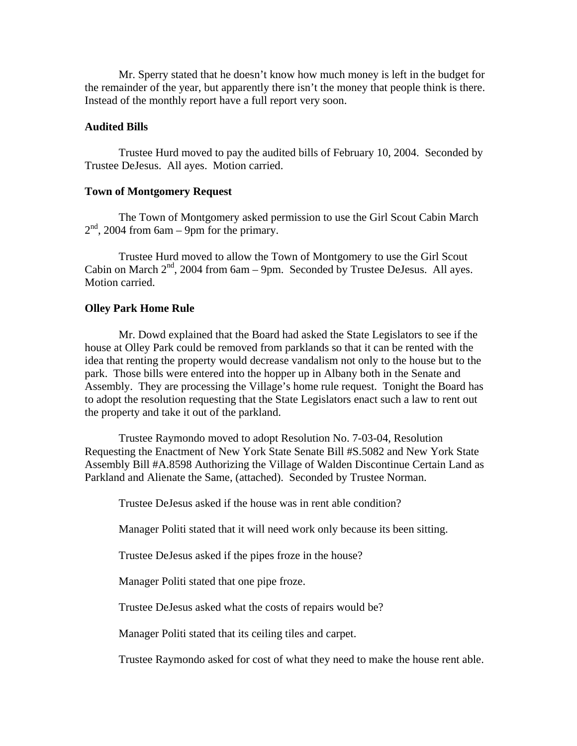Mr. Sperry stated that he doesn't know how much money is left in the budget for the remainder of the year, but apparently there isn't the money that people think is there. Instead of the monthly report have a full report very soon.

# **Audited Bills**

Trustee Hurd moved to pay the audited bills of February 10, 2004. Seconded by Trustee DeJesus. All ayes. Motion carried.

# **Town of Montgomery Request**

The Town of Montgomery asked permission to use the Girl Scout Cabin March  $2<sup>nd</sup>$ , 2004 from 6am – 9pm for the primary.

 Trustee Hurd moved to allow the Town of Montgomery to use the Girl Scout Cabin on March  $2<sup>nd</sup>$ , 2004 from 6am – 9pm. Seconded by Trustee DeJesus. All ayes. Motion carried.

#### **Olley Park Home Rule**

Mr. Dowd explained that the Board had asked the State Legislators to see if the house at Olley Park could be removed from parklands so that it can be rented with the idea that renting the property would decrease vandalism not only to the house but to the park. Those bills were entered into the hopper up in Albany both in the Senate and Assembly. They are processing the Village's home rule request. Tonight the Board has to adopt the resolution requesting that the State Legislators enact such a law to rent out the property and take it out of the parkland.

 Trustee Raymondo moved to adopt Resolution No. 7-03-04, Resolution Requesting the Enactment of New York State Senate Bill #S.5082 and New York State Assembly Bill #A.8598 Authorizing the Village of Walden Discontinue Certain Land as Parkland and Alienate the Same, (attached). Seconded by Trustee Norman.

Trustee DeJesus asked if the house was in rent able condition?

Manager Politi stated that it will need work only because its been sitting.

Trustee DeJesus asked if the pipes froze in the house?

Manager Politi stated that one pipe froze.

Trustee DeJesus asked what the costs of repairs would be?

Manager Politi stated that its ceiling tiles and carpet.

Trustee Raymondo asked for cost of what they need to make the house rent able.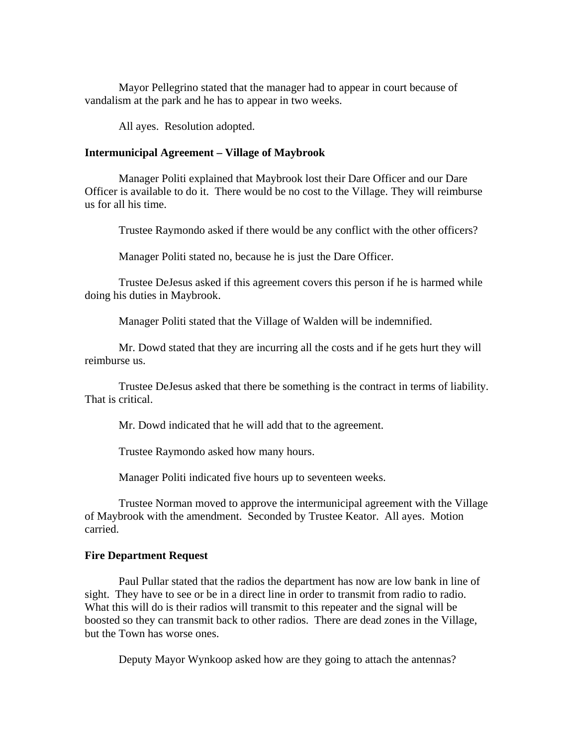Mayor Pellegrino stated that the manager had to appear in court because of vandalism at the park and he has to appear in two weeks.

All ayes. Resolution adopted.

# **Intermunicipal Agreement – Village of Maybrook**

Manager Politi explained that Maybrook lost their Dare Officer and our Dare Officer is available to do it. There would be no cost to the Village. They will reimburse us for all his time.

Trustee Raymondo asked if there would be any conflict with the other officers?

Manager Politi stated no, because he is just the Dare Officer.

 Trustee DeJesus asked if this agreement covers this person if he is harmed while doing his duties in Maybrook.

Manager Politi stated that the Village of Walden will be indemnified.

 Mr. Dowd stated that they are incurring all the costs and if he gets hurt they will reimburse us.

 Trustee DeJesus asked that there be something is the contract in terms of liability. That is critical.

Mr. Dowd indicated that he will add that to the agreement.

Trustee Raymondo asked how many hours.

Manager Politi indicated five hours up to seventeen weeks.

 Trustee Norman moved to approve the intermunicipal agreement with the Village of Maybrook with the amendment. Seconded by Trustee Keator. All ayes. Motion carried.

## **Fire Department Request**

Paul Pullar stated that the radios the department has now are low bank in line of sight. They have to see or be in a direct line in order to transmit from radio to radio. What this will do is their radios will transmit to this repeater and the signal will be boosted so they can transmit back to other radios. There are dead zones in the Village, but the Town has worse ones.

Deputy Mayor Wynkoop asked how are they going to attach the antennas?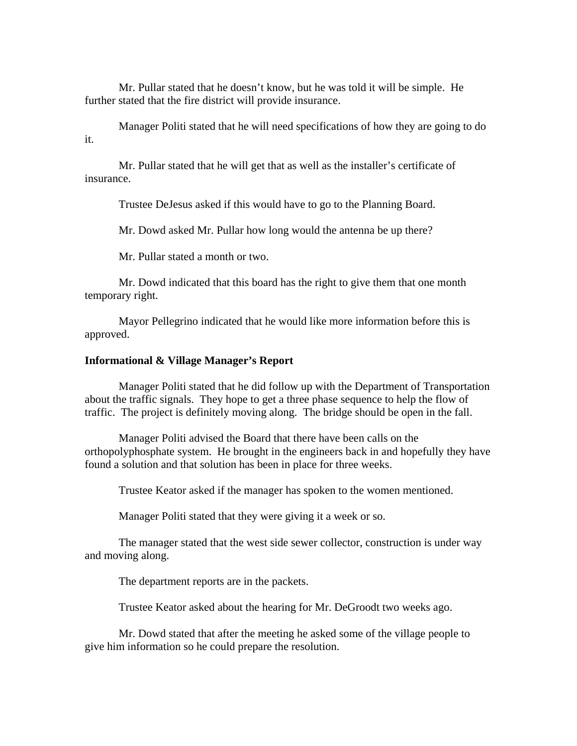Mr. Pullar stated that he doesn't know, but he was told it will be simple. He further stated that the fire district will provide insurance.

 Manager Politi stated that he will need specifications of how they are going to do it.

 Mr. Pullar stated that he will get that as well as the installer's certificate of insurance.

Trustee DeJesus asked if this would have to go to the Planning Board.

Mr. Dowd asked Mr. Pullar how long would the antenna be up there?

Mr. Pullar stated a month or two.

 Mr. Dowd indicated that this board has the right to give them that one month temporary right.

 Mayor Pellegrino indicated that he would like more information before this is approved.

# **Informational & Village Manager's Report**

Manager Politi stated that he did follow up with the Department of Transportation about the traffic signals. They hope to get a three phase sequence to help the flow of traffic. The project is definitely moving along. The bridge should be open in the fall.

 Manager Politi advised the Board that there have been calls on the orthopolyphosphate system. He brought in the engineers back in and hopefully they have found a solution and that solution has been in place for three weeks.

Trustee Keator asked if the manager has spoken to the women mentioned.

Manager Politi stated that they were giving it a week or so.

 The manager stated that the west side sewer collector, construction is under way and moving along.

The department reports are in the packets.

Trustee Keator asked about the hearing for Mr. DeGroodt two weeks ago.

 Mr. Dowd stated that after the meeting he asked some of the village people to give him information so he could prepare the resolution.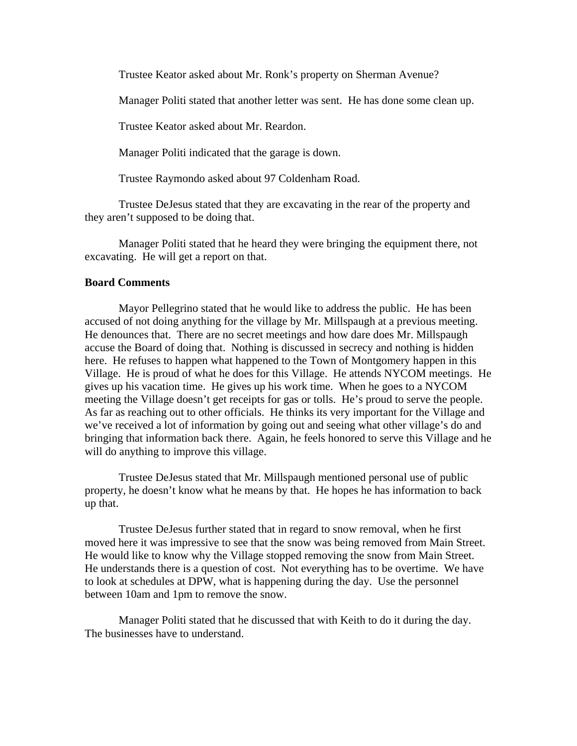Trustee Keator asked about Mr. Ronk's property on Sherman Avenue?

Manager Politi stated that another letter was sent. He has done some clean up.

Trustee Keator asked about Mr. Reardon.

Manager Politi indicated that the garage is down.

Trustee Raymondo asked about 97 Coldenham Road.

 Trustee DeJesus stated that they are excavating in the rear of the property and they aren't supposed to be doing that.

 Manager Politi stated that he heard they were bringing the equipment there, not excavating. He will get a report on that.

# **Board Comments**

Mayor Pellegrino stated that he would like to address the public. He has been accused of not doing anything for the village by Mr. Millspaugh at a previous meeting. He denounces that. There are no secret meetings and how dare does Mr. Millspaugh accuse the Board of doing that. Nothing is discussed in secrecy and nothing is hidden here. He refuses to happen what happened to the Town of Montgomery happen in this Village. He is proud of what he does for this Village. He attends NYCOM meetings. He gives up his vacation time. He gives up his work time. When he goes to a NYCOM meeting the Village doesn't get receipts for gas or tolls. He's proud to serve the people. As far as reaching out to other officials. He thinks its very important for the Village and we've received a lot of information by going out and seeing what other village's do and bringing that information back there. Again, he feels honored to serve this Village and he will do anything to improve this village.

 Trustee DeJesus stated that Mr. Millspaugh mentioned personal use of public property, he doesn't know what he means by that. He hopes he has information to back up that.

 Trustee DeJesus further stated that in regard to snow removal, when he first moved here it was impressive to see that the snow was being removed from Main Street. He would like to know why the Village stopped removing the snow from Main Street. He understands there is a question of cost. Not everything has to be overtime. We have to look at schedules at DPW, what is happening during the day. Use the personnel between 10am and 1pm to remove the snow.

 Manager Politi stated that he discussed that with Keith to do it during the day. The businesses have to understand.